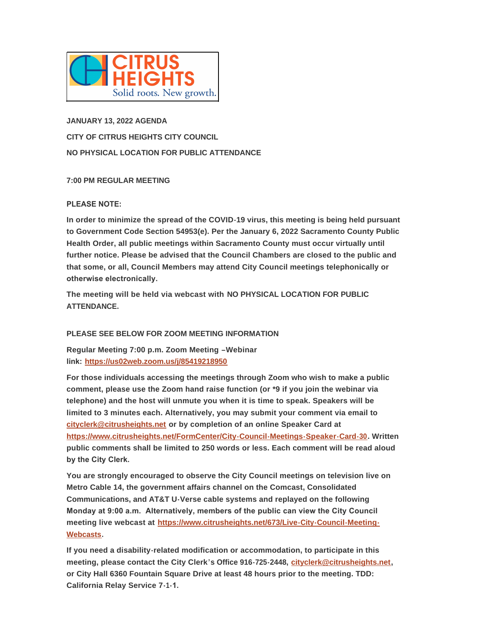

**JANUARY 13, 2022 AGENDA CITY OF CITRUS HEIGHTS CITY COUNCIL NO PHYSICAL LOCATION FOR PUBLIC ATTENDANCE**

# **7:00 PM REGULAR MEETING**

# **PLEASE NOTE:**

**In order to minimize the spread of the COVID-19 virus, this meeting is being held pursuant to Government Code Section 54953(e). Per the January 6, 2022 Sacramento County Public Health Order, all public meetings within Sacramento County must occur virtually until further notice. Please be advised that the Council Chambers are closed to the public and that some, or all, Council Members may attend City Council meetings telephonically or otherwise electronically.** 

**The meeting will be held via webcast with NO PHYSICAL LOCATION FOR PUBLIC ATTENDANCE.**

# **PLEASE SEE BELOW FOR ZOOM MEETING INFORMATION**

**Regular Meeting 7:00 p.m. Zoom Meeting –Webinar link: <https://us02web.zoom.us/j/85419218950>**

**For those individuals accessing the meetings through Zoom who wish to make a public comment, please use the Zoom hand raise function (or \*9 if you join the webinar via telephone) and the host will unmute you when it is time to speak. Speakers will be [limited to 3 minutes each. A](mailto:cityclerk@citrusheights.net)lternatively, you may submit your comment via email to cityclerk@citrusheights.net or by completion of an online Speaker Card at <https://www.citrusheights.net/FormCenter/City-Council-Meetings-Speaker-Card-30>. Written public comments shall be limited to 250 words or less. Each comment will be read aloud by the City Clerk.** 

**You are strongly encouraged to observe the City Council meetings on television live on Metro Cable 14, the government affairs channel on the Comcast, Consolidated Communications, and AT&T U-Verse cable systems and replayed on the following Monday at 9:00 a.m. Alternatively, members of the public can view the City Council meeting live webcast at [https://www.citrusheights.net/673/Live-City-Council-Meeting-](https://www.citrusheights.net/673/Live-City-Council-Meeting-Webcasts)Webcasts.**

**If you need a disability-related modification or accommodation, to participate in this meeting, please contact the City Clerk's Office 916-725-2448, [cityclerk@citrusheights.net](mailto:cityclerk@citrusheights.net), or City Hall 6360 Fountain Square Drive at least 48 hours prior to the meeting. TDD: California Relay Service 7-1-1.**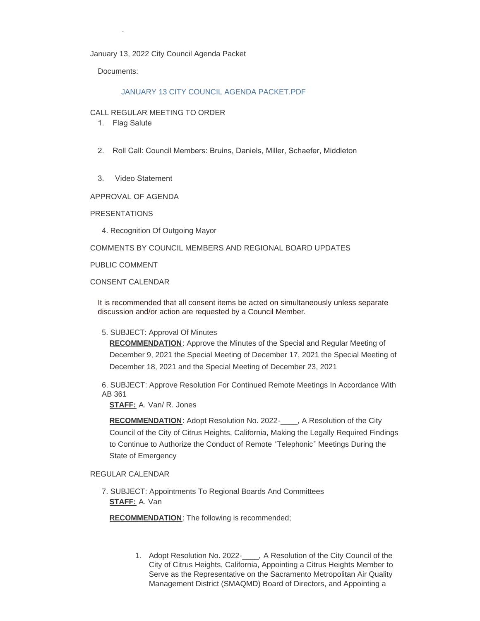#### January 13, 2022 City Council Agenda Packet

Documents:

**California Relay Service 7-1-1.** 

## [JANUARY 13 CITY COUNCIL AGENDA PACKET.PDF](http://www.citrusheights.net/AgendaCenter/ViewFile/Item/6499?fileID=34770)

#### CALL REGULAR MEETING TO ORDER

- 1. Flag Salute
- 2. Roll Call: Council Members: Bruins, Daniels, Miller, Schaefer, Middleton
- 3. Video Statement

APPROVAL OF AGENDA

#### PRESENTATIONS

4. Recognition Of Outgoing Mayor

### COMMENTS BY COUNCIL MEMBERS AND REGIONAL BOARD UPDATES

PUBLIC COMMENT

## CONSENT CALENDAR

It is recommended that all consent items be acted on simultaneously unless separate discussion and/or action are requested by a Council Member.

#### 5. SUBJECT: Approval Of Minutes

**RECOMMENDATION**: Approve the Minutes of the Special and Regular Meeting of December 9, 2021 the Special Meeting of December 17, 2021 the Special Meeting of December 18, 2021 and the Special Meeting of December 23, 2021

6. SUBJECT: Approve Resolution For Continued Remote Meetings In Accordance With AB 361

**STAFF:** A. Van/ R. Jones

**RECOMMENDATION**: Adopt Resolution No. 2022-\_\_\_\_, A Resolution of the City Council of the City of Citrus Heights, California, Making the Legally Required Findings to Continue to Authorize the Conduct of Remote "Telephonic" Meetings During the State of Emergency

#### REGULAR CALENDAR

7. SUBJECT: Appointments To Regional Boards And Committees **STAFF:** A. Van

**RECOMMENDATION**: The following is recommended;

1. Adopt Resolution No. 2022-\_\_\_\_, A Resolution of the City Council of the City of Citrus Heights, California, Appointing a Citrus Heights Member to Serve as the Representative on the Sacramento Metropolitan Air Quality Management District (SMAQMD) Board of Directors, and Appointing a